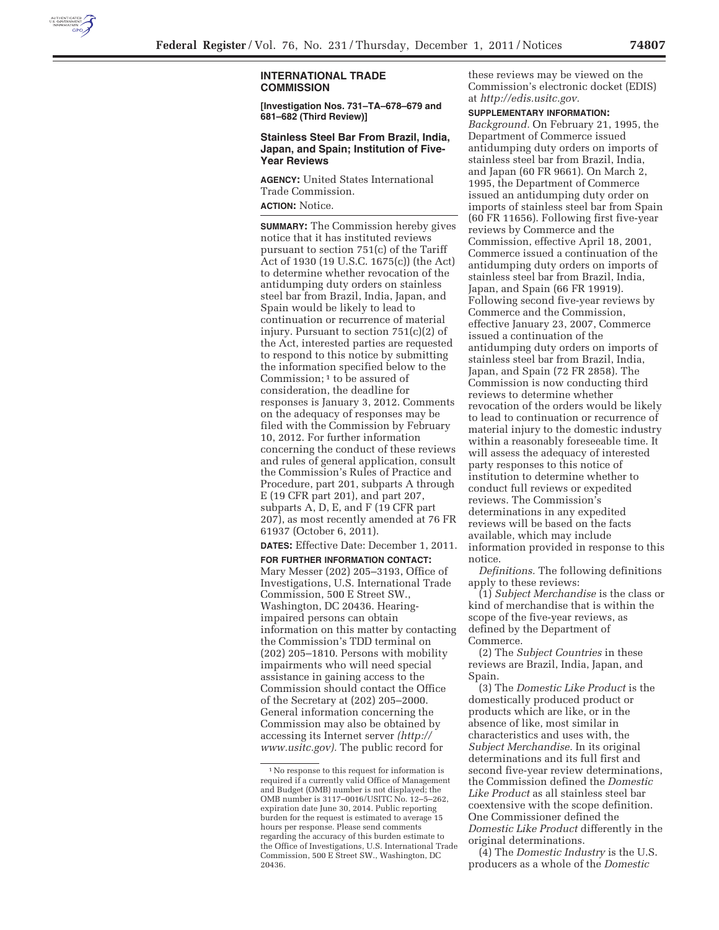

## **INTERNATIONAL TRADE COMMISSION**

**[Investigation Nos. 731–TA–678–679 and 681–682 (Third Review)]** 

## **Stainless Steel Bar From Brazil, India, Japan, and Spain; Institution of Five-Year Reviews**

**AGENCY:** United States International Trade Commission.

**ACTION:** Notice.

**SUMMARY:** The Commission hereby gives notice that it has instituted reviews pursuant to section 751(c) of the Tariff Act of 1930 (19 U.S.C. 1675(c)) (the Act) to determine whether revocation of the antidumping duty orders on stainless steel bar from Brazil, India, Japan, and Spain would be likely to lead to continuation or recurrence of material injury. Pursuant to section 751(c)(2) of the Act, interested parties are requested to respond to this notice by submitting the information specified below to the Commission; 1 to be assured of consideration, the deadline for responses is January 3, 2012. Comments on the adequacy of responses may be filed with the Commission by February 10, 2012. For further information concerning the conduct of these reviews and rules of general application, consult the Commission's Rules of Practice and Procedure, part 201, subparts A through E (19 CFR part 201), and part 207, subparts A, D, E, and F (19 CFR part 207), as most recently amended at 76 FR 61937 (October 6, 2011).

**DATES:** Effective Date: December 1, 2011.

**FOR FURTHER INFORMATION CONTACT:**  Mary Messer (202) 205–3193, Office of Investigations, U.S. International Trade Commission, 500 E Street SW., Washington, DC 20436. Hearingimpaired persons can obtain information on this matter by contacting the Commission's TDD terminal on (202) 205–1810. Persons with mobility impairments who will need special assistance in gaining access to the Commission should contact the Office of the Secretary at (202) 205–2000. General information concerning the Commission may also be obtained by accessing its Internet server *(http:// www.usitc.gov).* The public record for

these reviews may be viewed on the Commission's electronic docket (EDIS) at *http://edis.usitc.gov.* 

## **SUPPLEMENTARY INFORMATION:**

*Background.* On February 21, 1995, the Department of Commerce issued antidumping duty orders on imports of stainless steel bar from Brazil, India, and Japan (60 FR 9661). On March 2, 1995, the Department of Commerce issued an antidumping duty order on imports of stainless steel bar from Spain (60 FR 11656). Following first five-year reviews by Commerce and the Commission, effective April 18, 2001, Commerce issued a continuation of the antidumping duty orders on imports of stainless steel bar from Brazil, India, Japan, and Spain (66 FR 19919). Following second five-year reviews by Commerce and the Commission, effective January 23, 2007, Commerce issued a continuation of the antidumping duty orders on imports of stainless steel bar from Brazil, India, Japan, and Spain (72 FR 2858). The Commission is now conducting third reviews to determine whether revocation of the orders would be likely to lead to continuation or recurrence of material injury to the domestic industry within a reasonably foreseeable time. It will assess the adequacy of interested party responses to this notice of institution to determine whether to conduct full reviews or expedited reviews. The Commission's determinations in any expedited reviews will be based on the facts available, which may include information provided in response to this notice.

*Definitions.* The following definitions apply to these reviews:

(1) *Subject Merchandise* is the class or kind of merchandise that is within the scope of the five-year reviews, as defined by the Department of Commerce.

(2) The *Subject Countries* in these reviews are Brazil, India, Japan, and Spain.

(3) The *Domestic Like Product* is the domestically produced product or products which are like, or in the absence of like, most similar in characteristics and uses with, the *Subject Merchandise.* In its original determinations and its full first and second five-year review determinations, the Commission defined the *Domestic Like Product* as all stainless steel bar coextensive with the scope definition. One Commissioner defined the *Domestic Like Product* differently in the original determinations.

(4) The *Domestic Industry* is the U.S. producers as a whole of the *Domestic* 

<sup>1</sup>No response to this request for information is required if a currently valid Office of Management and Budget (OMB) number is not displayed; the OMB number is 3117–0016/USITC No. 12–5–262, expiration date June 30, 2014. Public reporting burden for the request is estimated to average 15 hours per response. Please send comments regarding the accuracy of this burden estimate to the Office of Investigations, U.S. International Trade Commission, 500 E Street SW., Washington, DC 20436.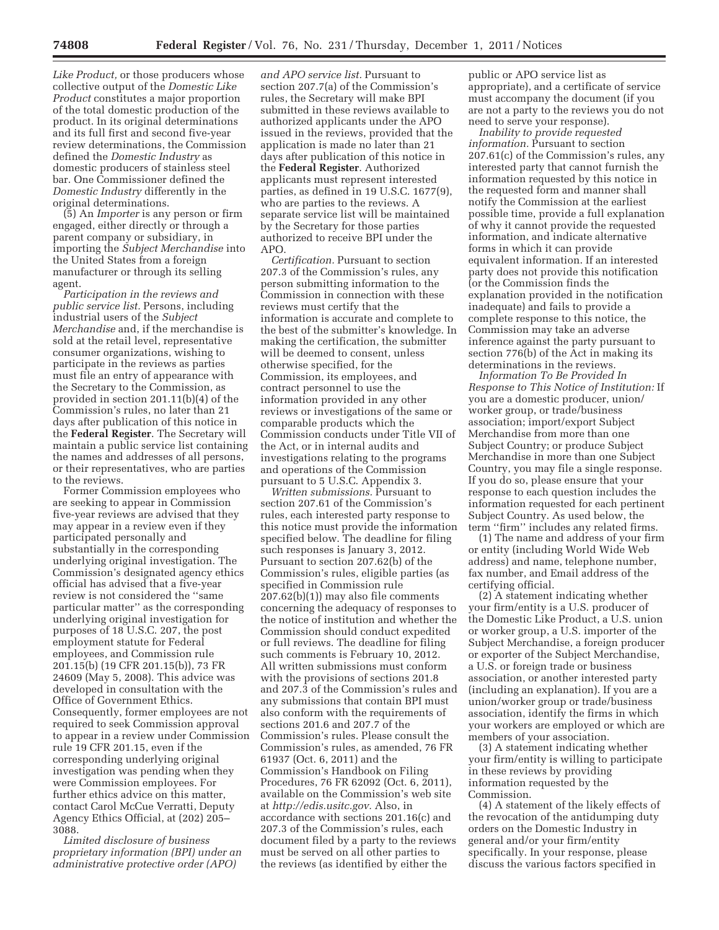*Like Product,* or those producers whose collective output of the *Domestic Like Product* constitutes a major proportion of the total domestic production of the product. In its original determinations and its full first and second five-year review determinations, the Commission defined the *Domestic Industry* as domestic producers of stainless steel bar. One Commissioner defined the *Domestic Industry* differently in the original determinations.

(5) An *Importer* is any person or firm engaged, either directly or through a parent company or subsidiary, in importing the *Subject Merchandise* into the United States from a foreign manufacturer or through its selling agent.

*Participation in the reviews and public service list.* Persons, including industrial users of the *Subject Merchandise* and, if the merchandise is sold at the retail level, representative consumer organizations, wishing to participate in the reviews as parties must file an entry of appearance with the Secretary to the Commission, as provided in section 201.11(b)(4) of the Commission's rules, no later than 21 days after publication of this notice in the **Federal Register**. The Secretary will maintain a public service list containing the names and addresses of all persons, or their representatives, who are parties to the reviews.

Former Commission employees who are seeking to appear in Commission five-year reviews are advised that they may appear in a review even if they participated personally and substantially in the corresponding underlying original investigation. The Commission's designated agency ethics official has advised that a five-year review is not considered the ''same particular matter'' as the corresponding underlying original investigation for purposes of 18 U.S.C. 207, the post employment statute for Federal employees, and Commission rule 201.15(b) (19 CFR 201.15(b)), 73 FR 24609 (May 5, 2008). This advice was developed in consultation with the Office of Government Ethics. Consequently, former employees are not required to seek Commission approval to appear in a review under Commission rule 19 CFR 201.15, even if the corresponding underlying original investigation was pending when they were Commission employees. For further ethics advice on this matter, contact Carol McCue Verratti, Deputy Agency Ethics Official, at (202) 205– 3088.

*Limited disclosure of business proprietary information (BPI) under an administrative protective order (APO)* 

*and APO service list.* Pursuant to section 207.7(a) of the Commission's rules, the Secretary will make BPI submitted in these reviews available to authorized applicants under the APO issued in the reviews, provided that the application is made no later than 21 days after publication of this notice in the **Federal Register**. Authorized applicants must represent interested parties, as defined in 19 U.S.C. 1677(9), who are parties to the reviews. A separate service list will be maintained by the Secretary for those parties authorized to receive BPI under the APO.

*Certification.* Pursuant to section 207.3 of the Commission's rules, any person submitting information to the Commission in connection with these reviews must certify that the information is accurate and complete to the best of the submitter's knowledge. In making the certification, the submitter will be deemed to consent, unless otherwise specified, for the Commission, its employees, and contract personnel to use the information provided in any other reviews or investigations of the same or comparable products which the Commission conducts under Title VII of the Act, or in internal audits and investigations relating to the programs and operations of the Commission pursuant to 5 U.S.C. Appendix 3.

*Written submissions.* Pursuant to section 207.61 of the Commission's rules, each interested party response to this notice must provide the information specified below. The deadline for filing such responses is January 3, 2012. Pursuant to section 207.62(b) of the Commission's rules, eligible parties (as specified in Commission rule 207.62(b)(1)) may also file comments concerning the adequacy of responses to the notice of institution and whether the Commission should conduct expedited or full reviews. The deadline for filing such comments is February 10, 2012. All written submissions must conform with the provisions of sections 201.8 and 207.3 of the Commission's rules and any submissions that contain BPI must also conform with the requirements of sections 201.6 and 207.7 of the Commission's rules. Please consult the Commission's rules, as amended, 76 FR 61937 (Oct. 6, 2011) and the Commission's Handbook on Filing Procedures, 76 FR 62092 (Oct. 6, 2011), available on the Commission's web site at *http://edis.usitc.gov.* Also, in accordance with sections 201.16(c) and 207.3 of the Commission's rules, each document filed by a party to the reviews must be served on all other parties to the reviews (as identified by either the

public or APO service list as appropriate), and a certificate of service must accompany the document (if you are not a party to the reviews you do not need to serve your response).

*Inability to provide requested information.* Pursuant to section 207.61(c) of the Commission's rules, any interested party that cannot furnish the information requested by this notice in the requested form and manner shall notify the Commission at the earliest possible time, provide a full explanation of why it cannot provide the requested information, and indicate alternative forms in which it can provide equivalent information. If an interested party does not provide this notification (or the Commission finds the explanation provided in the notification inadequate) and fails to provide a complete response to this notice, the Commission may take an adverse inference against the party pursuant to section 776(b) of the Act in making its determinations in the reviews.

*Information To Be Provided In Response to This Notice of Institution:* If you are a domestic producer, union/ worker group, or trade/business association; import/export Subject Merchandise from more than one Subject Country; or produce Subject Merchandise in more than one Subject Country, you may file a single response. If you do so, please ensure that your response to each question includes the information requested for each pertinent Subject Country. As used below, the term ''firm'' includes any related firms.

(1) The name and address of your firm or entity (including World Wide Web address) and name, telephone number, fax number, and Email address of the certifying official.

(2) A statement indicating whether your firm/entity is a U.S. producer of the Domestic Like Product, a U.S. union or worker group, a U.S. importer of the Subject Merchandise, a foreign producer or exporter of the Subject Merchandise, a U.S. or foreign trade or business association, or another interested party (including an explanation). If you are a union/worker group or trade/business association, identify the firms in which your workers are employed or which are members of your association.

(3) A statement indicating whether your firm/entity is willing to participate in these reviews by providing information requested by the Commission.

(4) A statement of the likely effects of the revocation of the antidumping duty orders on the Domestic Industry in general and/or your firm/entity specifically. In your response, please discuss the various factors specified in